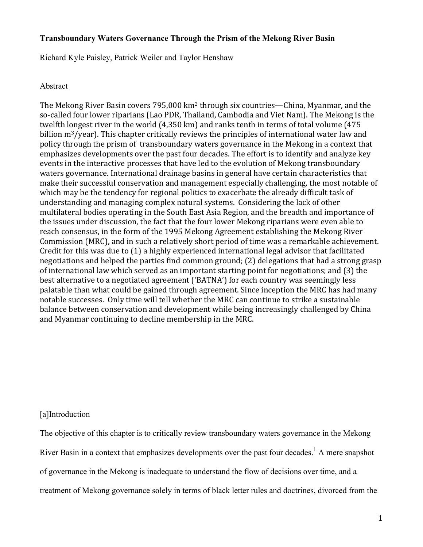# **Transboundary Waters Governance Through the Prism of the Mekong River Basin**

Richard Kyle Paisley, Patrick Weiler and Taylor Henshaw

# Abstract

The Mekong River Basin covers  $795,000 \mathrm{~km^2}$  through six countries—China, Myanmar, and the so-called four lower riparians (Lao PDR, Thailand, Cambodia and Viet Nam). The Mekong is the twelfth longest river in the world  $(4,350 \text{ km})$  and ranks tenth in terms of total volume  $(475 \text{ m})$ billion  $m^3$ /year). This chapter critically reviews the principles of international water law and policy through the prism of transboundary waters governance in the Mekong in a context that emphasizes developments over the past four decades. The effort is to identify and analyze key events in the interactive processes that have led to the evolution of Mekong transboundary waters governance. International drainage basins in general have certain characteristics that make their successful conservation and management especially challenging, the most notable of which may be the tendency for regional politics to exacerbate the already difficult task of understanding and managing complex natural systems. Considering the lack of other multilateral bodies operating in the South East Asia Region, and the breadth and importance of the issues under discussion, the fact that the four lower Mekong riparians were even able to reach consensus, in the form of the 1995 Mekong Agreement establishing the Mekong River Commission (MRC), and in such a relatively short period of time was a remarkable achievement. Credit for this was due to  $(1)$  a highly experienced international legal advisor that facilitated negotiations and helped the parties find common ground; (2) delegations that had a strong grasp of international law which served as an important starting point for negotiations; and (3) the best alternative to a negotiated agreement ('BATNA') for each country was seemingly less palatable than what could be gained through agreement. Since inception the MRC has had many notable successes. Only time will tell whether the MRC can continue to strike a sustainable balance between conservation and development while being increasingly challenged by China and Myanmar continuing to decline membership in the MRC.

# [a]Introduction

The objective of this chapter is to critically review transboundary waters governance in the Mekong River Basin in a context that emphasizes developments over the past four decades.<sup>1</sup> A mere snapshot of governance in the Mekong is inadequate to understand the flow of decisions over time, and a treatment of Mekong governance solely in terms of black letter rules and doctrines, divorced from the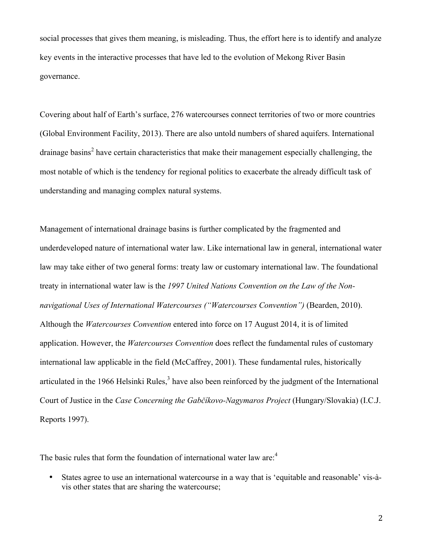social processes that gives them meaning, is misleading. Thus, the effort here is to identify and analyze key events in the interactive processes that have led to the evolution of Mekong River Basin governance.

Covering about half of Earth's surface, 276 watercourses connect territories of two or more countries (Global Environment Facility, 2013). There are also untold numbers of shared aquifers. International  $\alpha$  drainage basins<sup>2</sup> have certain characteristics that make their management especially challenging, the most notable of which is the tendency for regional politics to exacerbate the already difficult task of understanding and managing complex natural systems.

Management of international drainage basins is further complicated by the fragmented and underdeveloped nature of international water law. Like international law in general, international water law may take either of two general forms: treaty law or customary international law. The foundational treaty in international water law is the *1997 United Nations Convention on the Law of the Nonnavigational Uses of International Watercourses ("Watercourses Convention")* (Bearden, 2010). Although the *Watercourses Convention* entered into force on 17 August 2014, it is of limited application. However, the *Watercourses Convention* does reflect the fundamental rules of customary international law applicable in the field (McCaffrey, 2001). These fundamental rules, historically articulated in the 1966 Helsinki Rules, $3$  have also been reinforced by the judgment of the International Court of Justice in the *Case Concerning the Gabčíkovo-Nagymaros Project* (Hungary/Slovakia) (I.C.J. Reports 1997).

The basic rules that form the foundation of international water law are:<sup>4</sup>

• States agree to use an international watercourse in a way that is 'equitable and reasonable' vis-àvis other states that are sharing the watercourse;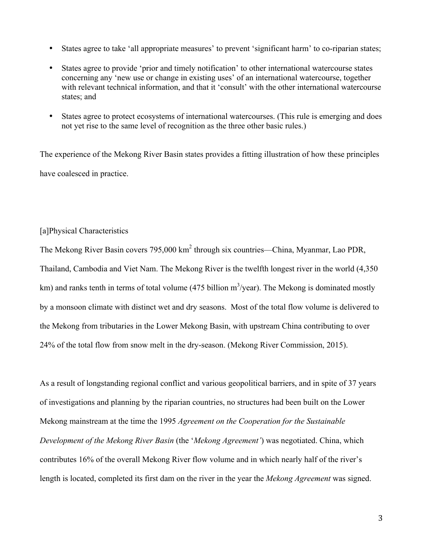- States agree to take 'all appropriate measures' to prevent 'significant harm' to co-riparian states;
- States agree to provide 'prior and timely notification' to other international watercourse states concerning any 'new use or change in existing uses' of an international watercourse, together with relevant technical information, and that it 'consult' with the other international watercourse states; and
- States agree to protect ecosystems of international watercourses. (This rule is emerging and does not yet rise to the same level of recognition as the three other basic rules.)

The experience of the Mekong River Basin states provides a fitting illustration of how these principles have coalesced in practice.

[a]Physical Characteristics

The Mekong River Basin covers 795,000 km<sup>2</sup> through six countries—China, Myanmar, Lao PDR, Thailand, Cambodia and Viet Nam. The Mekong River is the twelfth longest river in the world (4,350 km) and ranks tenth in terms of total volume (475 billion  $m^3$ /year). The Mekong is dominated mostly by a monsoon climate with distinct wet and dry seasons. Most of the total flow volume is delivered to the Mekong from tributaries in the Lower Mekong Basin, with upstream China contributing to over 24% of the total flow from snow melt in the dry-season. (Mekong River Commission, 2015).

As a result of longstanding regional conflict and various geopolitical barriers, and in spite of 37 years of investigations and planning by the riparian countries, no structures had been built on the Lower Mekong mainstream at the time the 1995 *Agreement on the Cooperation for the Sustainable Development of the Mekong River Basin* (the '*Mekong Agreement'*) was negotiated. China, which contributes 16% of the overall Mekong River flow volume and in which nearly half of the river's length is located, completed its first dam on the river in the year the *Mekong Agreement* was signed.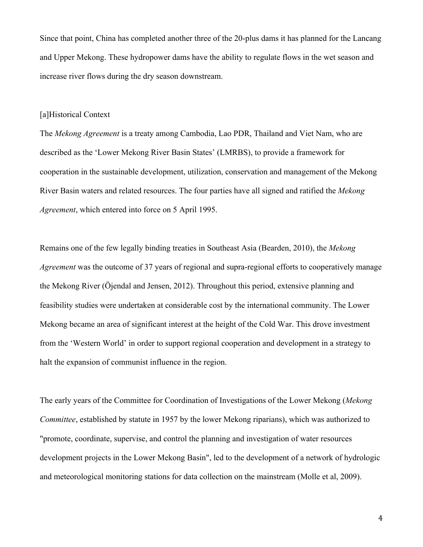Since that point, China has completed another three of the 20-plus dams it has planned for the Lancang and Upper Mekong. These hydropower dams have the ability to regulate flows in the wet season and increase river flows during the dry season downstream.

### [a]Historical Context

The *Mekong Agreement* is a treaty among Cambodia, Lao PDR, Thailand and Viet Nam, who are described as the 'Lower Mekong River Basin States' (LMRBS), to provide a framework for cooperation in the sustainable development, utilization, conservation and management of the Mekong River Basin waters and related resources. The four parties have all signed and ratified the *Mekong Agreement*, which entered into force on 5 April 1995.

Remains one of the few legally binding treaties in Southeast Asia (Bearden, 2010), the *Mekong Agreement* was the outcome of 37 years of regional and supra-regional efforts to cooperatively manage the Mekong River (Öjendal and Jensen, 2012). Throughout this period, extensive planning and feasibility studies were undertaken at considerable cost by the international community. The Lower Mekong became an area of significant interest at the height of the Cold War. This drove investment from the 'Western World' in order to support regional cooperation and development in a strategy to halt the expansion of communist influence in the region.

The early years of the Committee for Coordination of Investigations of the Lower Mekong (*Mekong Committee*, established by statute in 1957 by the lower Mekong riparians), which was authorized to "promote, coordinate, supervise, and control the planning and investigation of water resources development projects in the Lower Mekong Basin", led to the development of a network of hydrologic and meteorological monitoring stations for data collection on the mainstream (Molle et al, 2009).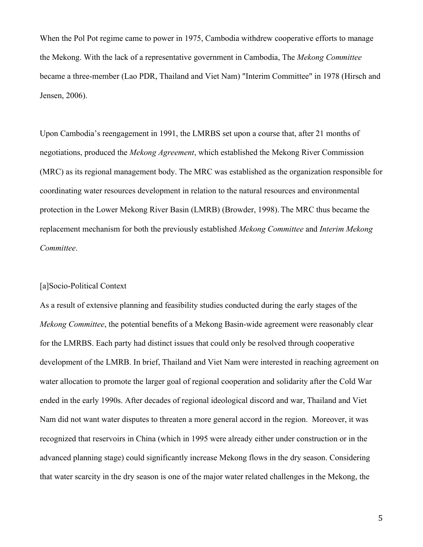When the Pol Pot regime came to power in 1975, Cambodia withdrew cooperative efforts to manage the Mekong. With the lack of a representative government in Cambodia, The *Mekong Committee* became a three-member (Lao PDR, Thailand and Viet Nam) "Interim Committee" in 1978 (Hirsch and Jensen, 2006).

Upon Cambodia's reengagement in 1991, the LMRBS set upon a course that, after 21 months of negotiations, produced the *Mekong Agreement*, which established the Mekong River Commission (MRC) as its regional management body. The MRC was established as the organization responsible for coordinating water resources development in relation to the natural resources and environmental protection in the Lower Mekong River Basin (LMRB) (Browder, 1998). The MRC thus became the replacement mechanism for both the previously established *Mekong Committee* and *Interim Mekong Committee*.

### [a]Socio-Political Context

As a result of extensive planning and feasibility studies conducted during the early stages of the *Mekong Committee*, the potential benefits of a Mekong Basin-wide agreement were reasonably clear for the LMRBS. Each party had distinct issues that could only be resolved through cooperative development of the LMRB. In brief, Thailand and Viet Nam were interested in reaching agreement on water allocation to promote the larger goal of regional cooperation and solidarity after the Cold War ended in the early 1990s. After decades of regional ideological discord and war, Thailand and Viet Nam did not want water disputes to threaten a more general accord in the region. Moreover, it was recognized that reservoirs in China (which in 1995 were already either under construction or in the advanced planning stage) could significantly increase Mekong flows in the dry season. Considering that water scarcity in the dry season is one of the major water related challenges in the Mekong, the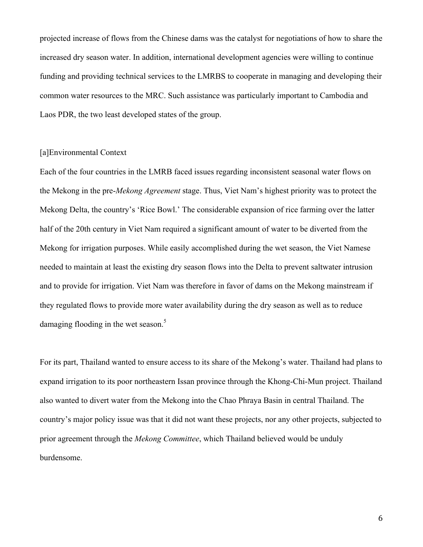projected increase of flows from the Chinese dams was the catalyst for negotiations of how to share the increased dry season water. In addition, international development agencies were willing to continue funding and providing technical services to the LMRBS to cooperate in managing and developing their common water resources to the MRC. Such assistance was particularly important to Cambodia and Laos PDR, the two least developed states of the group.

# [a]Environmental Context

Each of the four countries in the LMRB faced issues regarding inconsistent seasonal water flows on the Mekong in the pre-*Mekong Agreement* stage. Thus, Viet Nam's highest priority was to protect the Mekong Delta, the country's 'Rice Bowl.' The considerable expansion of rice farming over the latter half of the 20th century in Viet Nam required a significant amount of water to be diverted from the Mekong for irrigation purposes. While easily accomplished during the wet season, the Viet Namese needed to maintain at least the existing dry season flows into the Delta to prevent saltwater intrusion and to provide for irrigation. Viet Nam was therefore in favor of dams on the Mekong mainstream if they regulated flows to provide more water availability during the dry season as well as to reduce damaging flooding in the wet season.<sup>5</sup>

For its part, Thailand wanted to ensure access to its share of the Mekong's water. Thailand had plans to expand irrigation to its poor northeastern Issan province through the Khong-Chi-Mun project. Thailand also wanted to divert water from the Mekong into the Chao Phraya Basin in central Thailand. The country's major policy issue was that it did not want these projects, nor any other projects, subjected to prior agreement through the *Mekong Committee*, which Thailand believed would be unduly burdensome.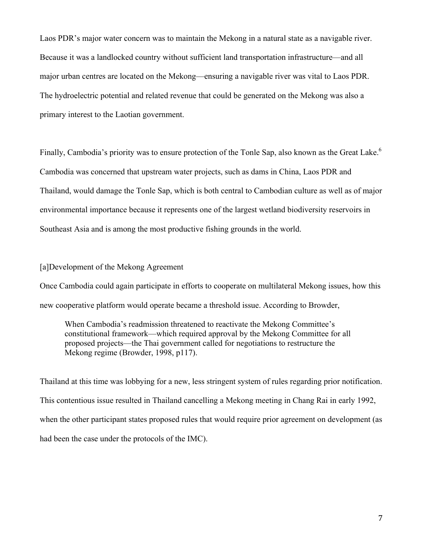Laos PDR's major water concern was to maintain the Mekong in a natural state as a navigable river. Because it was a landlocked country without sufficient land transportation infrastructure—and all major urban centres are located on the Mekong—ensuring a navigable river was vital to Laos PDR. The hydroelectric potential and related revenue that could be generated on the Mekong was also a primary interest to the Laotian government.

Finally, Cambodia's priority was to ensure protection of the Tonle Sap, also known as the Great Lake.<sup>6</sup> Cambodia was concerned that upstream water projects, such as dams in China, Laos PDR and Thailand, would damage the Tonle Sap, which is both central to Cambodian culture as well as of major environmental importance because it represents one of the largest wetland biodiversity reservoirs in Southeast Asia and is among the most productive fishing grounds in the world.

# [a]Development of the Mekong Agreement

Once Cambodia could again participate in efforts to cooperate on multilateral Mekong issues, how this new cooperative platform would operate became a threshold issue. According to Browder,

When Cambodia's readmission threatened to reactivate the Mekong Committee's constitutional framework—which required approval by the Mekong Committee for all proposed projects—the Thai government called for negotiations to restructure the Mekong regime (Browder, 1998, p117).

Thailand at this time was lobbying for a new, less stringent system of rules regarding prior notification. This contentious issue resulted in Thailand cancelling a Mekong meeting in Chang Rai in early 1992, when the other participant states proposed rules that would require prior agreement on development (as had been the case under the protocols of the IMC).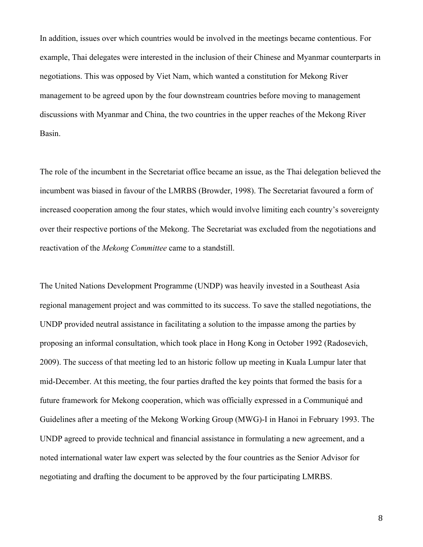In addition, issues over which countries would be involved in the meetings became contentious. For example, Thai delegates were interested in the inclusion of their Chinese and Myanmar counterparts in negotiations. This was opposed by Viet Nam, which wanted a constitution for Mekong River management to be agreed upon by the four downstream countries before moving to management discussions with Myanmar and China, the two countries in the upper reaches of the Mekong River Basin.

The role of the incumbent in the Secretariat office became an issue, as the Thai delegation believed the incumbent was biased in favour of the LMRBS (Browder, 1998). The Secretariat favoured a form of increased cooperation among the four states, which would involve limiting each country's sovereignty over their respective portions of the Mekong. The Secretariat was excluded from the negotiations and reactivation of the *Mekong Committee* came to a standstill.

The United Nations Development Programme (UNDP) was heavily invested in a Southeast Asia regional management project and was committed to its success. To save the stalled negotiations, the UNDP provided neutral assistance in facilitating a solution to the impasse among the parties by proposing an informal consultation, which took place in Hong Kong in October 1992 (Radosevich, 2009). The success of that meeting led to an historic follow up meeting in Kuala Lumpur later that mid-December. At this meeting, the four parties drafted the key points that formed the basis for a future framework for Mekong cooperation, which was officially expressed in a Communiqué and Guidelines after a meeting of the Mekong Working Group (MWG)-I in Hanoi in February 1993. The UNDP agreed to provide technical and financial assistance in formulating a new agreement, and a noted international water law expert was selected by the four countries as the Senior Advisor for negotiating and drafting the document to be approved by the four participating LMRBS.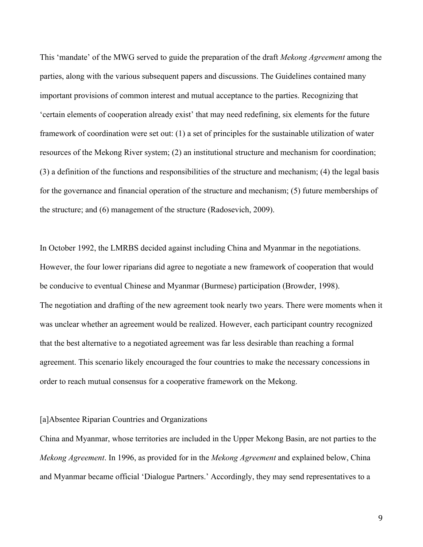This 'mandate' of the MWG served to guide the preparation of the draft *Mekong Agreement* among the parties, along with the various subsequent papers and discussions. The Guidelines contained many important provisions of common interest and mutual acceptance to the parties. Recognizing that 'certain elements of cooperation already exist' that may need redefining, six elements for the future framework of coordination were set out: (1) a set of principles for the sustainable utilization of water resources of the Mekong River system; (2) an institutional structure and mechanism for coordination; (3) a definition of the functions and responsibilities of the structure and mechanism; (4) the legal basis for the governance and financial operation of the structure and mechanism; (5) future memberships of the structure; and (6) management of the structure (Radosevich, 2009).

In October 1992, the LMRBS decided against including China and Myanmar in the negotiations. However, the four lower riparians did agree to negotiate a new framework of cooperation that would be conducive to eventual Chinese and Myanmar (Burmese) participation (Browder, 1998). The negotiation and drafting of the new agreement took nearly two years. There were moments when it was unclear whether an agreement would be realized. However, each participant country recognized that the best alternative to a negotiated agreement was far less desirable than reaching a formal agreement. This scenario likely encouraged the four countries to make the necessary concessions in order to reach mutual consensus for a cooperative framework on the Mekong.

### [a]Absentee Riparian Countries and Organizations

China and Myanmar, whose territories are included in the Upper Mekong Basin, are not parties to the *Mekong Agreement*. In 1996, as provided for in the *Mekong Agreement* and explained below, China and Myanmar became official 'Dialogue Partners.' Accordingly, they may send representatives to a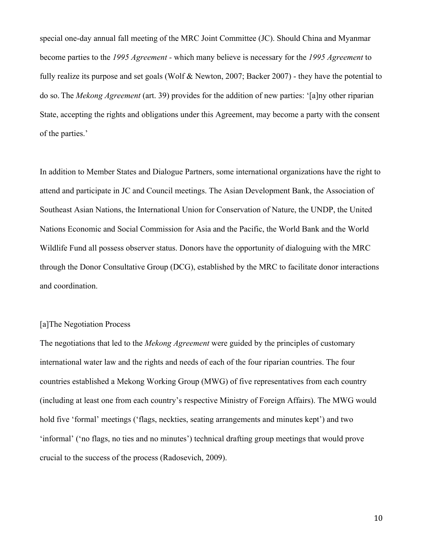special one-day annual fall meeting of the MRC Joint Committee (JC). Should China and Myanmar become parties to the *1995 Agreement -* which many believe is necessary for the *1995 Agreement* to fully realize its purpose and set goals (Wolf & Newton, 2007; Backer 2007) - they have the potential to do so. The *Mekong Agreement* (art. 39) provides for the addition of new parties: '[a]ny other riparian State, accepting the rights and obligations under this Agreement, may become a party with the consent of the parties.'

In addition to Member States and Dialogue Partners, some international organizations have the right to attend and participate in JC and Council meetings. The Asian Development Bank, the Association of Southeast Asian Nations, the International Union for Conservation of Nature, the UNDP, the United Nations Economic and Social Commission for Asia and the Pacific, the World Bank and the World Wildlife Fund all possess observer status. Donors have the opportunity of dialoguing with the MRC through the Donor Consultative Group (DCG), established by the MRC to facilitate donor interactions and coordination.

#### [a]The Negotiation Process

The negotiations that led to the *Mekong Agreement* were guided by the principles of customary international water law and the rights and needs of each of the four riparian countries. The four countries established a Mekong Working Group (MWG) of five representatives from each country (including at least one from each country's respective Ministry of Foreign Affairs). The MWG would hold five 'formal' meetings ('flags, neckties, seating arrangements and minutes kept') and two 'informal' ('no flags, no ties and no minutes') technical drafting group meetings that would prove crucial to the success of the process (Radosevich, 2009).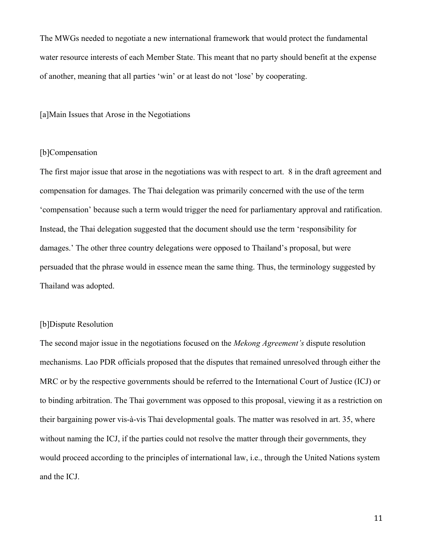The MWGs needed to negotiate a new international framework that would protect the fundamental water resource interests of each Member State. This meant that no party should benefit at the expense of another, meaning that all parties 'win' or at least do not 'lose' by cooperating.

[a]Main Issues that Arose in the Negotiations

### [b]Compensation

The first major issue that arose in the negotiations was with respect to art. 8 in the draft agreement and compensation for damages. The Thai delegation was primarily concerned with the use of the term 'compensation' because such a term would trigger the need for parliamentary approval and ratification. Instead, the Thai delegation suggested that the document should use the term 'responsibility for damages.' The other three country delegations were opposed to Thailand's proposal, but were persuaded that the phrase would in essence mean the same thing. Thus, the terminology suggested by Thailand was adopted.

#### [b]Dispute Resolution

The second major issue in the negotiations focused on the *Mekong Agreement's* dispute resolution mechanisms. Lao PDR officials proposed that the disputes that remained unresolved through either the MRC or by the respective governments should be referred to the International Court of Justice (ICJ) or to binding arbitration. The Thai government was opposed to this proposal, viewing it as a restriction on their bargaining power vis-à-vis Thai developmental goals. The matter was resolved in art. 35, where without naming the ICJ, if the parties could not resolve the matter through their governments, they would proceed according to the principles of international law, i.e., through the United Nations system and the ICJ.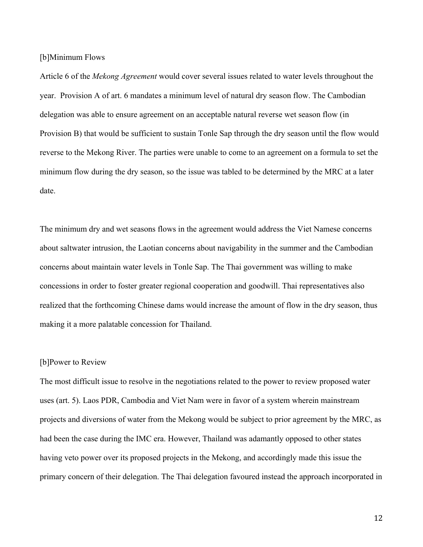[b]Minimum Flows

Article 6 of the *Mekong Agreement* would cover several issues related to water levels throughout the year. Provision A of art. 6 mandates a minimum level of natural dry season flow. The Cambodian delegation was able to ensure agreement on an acceptable natural reverse wet season flow (in Provision B) that would be sufficient to sustain Tonle Sap through the dry season until the flow would reverse to the Mekong River. The parties were unable to come to an agreement on a formula to set the minimum flow during the dry season, so the issue was tabled to be determined by the MRC at a later date.

The minimum dry and wet seasons flows in the agreement would address the Viet Namese concerns about saltwater intrusion, the Laotian concerns about navigability in the summer and the Cambodian concerns about maintain water levels in Tonle Sap. The Thai government was willing to make concessions in order to foster greater regional cooperation and goodwill. Thai representatives also realized that the forthcoming Chinese dams would increase the amount of flow in the dry season, thus making it a more palatable concession for Thailand.

#### [b]Power to Review

The most difficult issue to resolve in the negotiations related to the power to review proposed water uses (art. 5). Laos PDR, Cambodia and Viet Nam were in favor of a system wherein mainstream projects and diversions of water from the Mekong would be subject to prior agreement by the MRC, as had been the case during the IMC era. However, Thailand was adamantly opposed to other states having veto power over its proposed projects in the Mekong, and accordingly made this issue the primary concern of their delegation. The Thai delegation favoured instead the approach incorporated in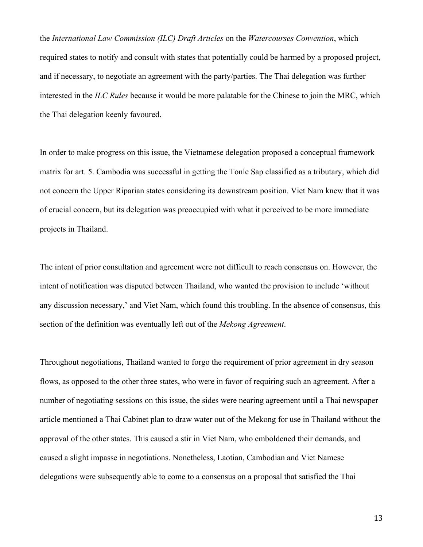the *International Law Commission (ILC) Draft Articles* on the *Watercourses Convention*, which required states to notify and consult with states that potentially could be harmed by a proposed project, and if necessary, to negotiate an agreement with the party/parties. The Thai delegation was further interested in the *ILC Rules* because it would be more palatable for the Chinese to join the MRC, which the Thai delegation keenly favoured.

In order to make progress on this issue, the Vietnamese delegation proposed a conceptual framework matrix for art. 5. Cambodia was successful in getting the Tonle Sap classified as a tributary, which did not concern the Upper Riparian states considering its downstream position. Viet Nam knew that it was of crucial concern, but its delegation was preoccupied with what it perceived to be more immediate projects in Thailand.

The intent of prior consultation and agreement were not difficult to reach consensus on. However, the intent of notification was disputed between Thailand, who wanted the provision to include 'without any discussion necessary,' and Viet Nam, which found this troubling. In the absence of consensus, this section of the definition was eventually left out of the *Mekong Agreement*.

Throughout negotiations, Thailand wanted to forgo the requirement of prior agreement in dry season flows, as opposed to the other three states, who were in favor of requiring such an agreement. After a number of negotiating sessions on this issue, the sides were nearing agreement until a Thai newspaper article mentioned a Thai Cabinet plan to draw water out of the Mekong for use in Thailand without the approval of the other states. This caused a stir in Viet Nam, who emboldened their demands, and caused a slight impasse in negotiations. Nonetheless, Laotian, Cambodian and Viet Namese delegations were subsequently able to come to a consensus on a proposal that satisfied the Thai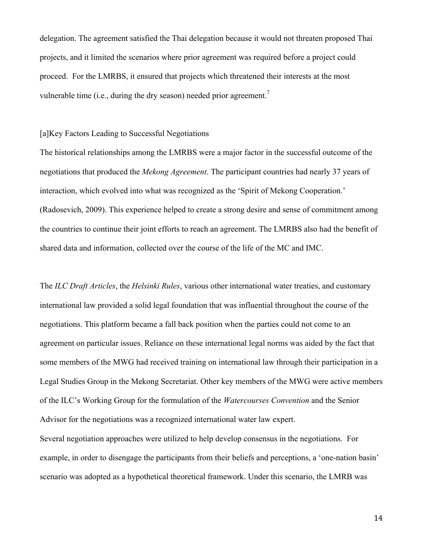delegation. The agreement satisfied the Thai delegation because it would not threaten proposed Thai projects, and it limited the scenarios where prior agreement was required before a project could proceed. For the LMRBS, it ensured that projects which threatened their interests at the most vulnerable time (i.e., during the dry season) needed prior agreement.<sup>7</sup>

#### [a]Key Factors Leading to Successful Negotiations

The historical relationships among the LMRBS were a major factor in the successful outcome of the negotiations that produced the *Mekong Agreement*. The participant countries had nearly 37 years of interaction, which evolved into what was recognized as the 'Spirit of Mekong Cooperation.' (Radosevich, 2009). This experience helped to create a strong desire and sense of commitment among the countries to continue their joint efforts to reach an agreement. The LMRBS also had the benefit of shared data and information, collected over the course of the life of the MC and IMC.

The *ILC Draft Articles*, the *Helsinki Rules*, various other international water treaties, and customary international law provided a solid legal foundation that was influential throughout the course of the negotiations. This platform became a fall back position when the parties could not come to an agreement on particular issues. Reliance on these international legal norms was aided by the fact that some members of the MWG had received training on international law through their participation in a Legal Studies Group in the Mekong Secretariat. Other key members of the MWG were active members of the ILC's Working Group for the formulation of the *Watercourses Convention* and the Senior Advisor for the negotiations was a recognized international water law expert.

Several negotiation approaches were utilized to help develop consensus in the negotiations. For example, in order to disengage the participants from their beliefs and perceptions, a 'one-nation basin' scenario was adopted as a hypothetical theoretical framework. Under this scenario, the LMRB was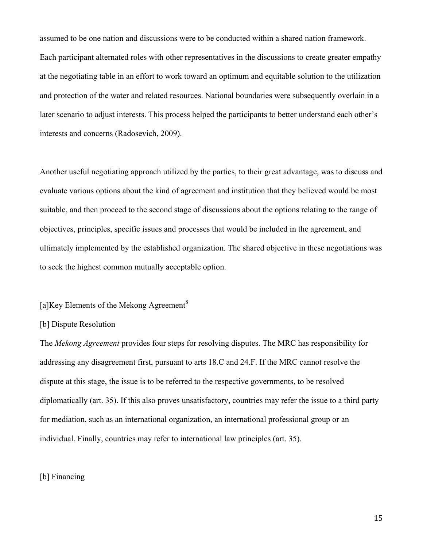assumed to be one nation and discussions were to be conducted within a shared nation framework. Each participant alternated roles with other representatives in the discussions to create greater empathy at the negotiating table in an effort to work toward an optimum and equitable solution to the utilization and protection of the water and related resources. National boundaries were subsequently overlain in a later scenario to adjust interests. This process helped the participants to better understand each other's interests and concerns (Radosevich, 2009).

Another useful negotiating approach utilized by the parties, to their great advantage, was to discuss and evaluate various options about the kind of agreement and institution that they believed would be most suitable, and then proceed to the second stage of discussions about the options relating to the range of objectives, principles, specific issues and processes that would be included in the agreement, and ultimately implemented by the established organization. The shared objective in these negotiations was to seek the highest common mutually acceptable option.

# [a]Key Elements of the Mekong Agreement<sup>8</sup>

# [b] Dispute Resolution

The *Mekong Agreement* provides four steps for resolving disputes. The MRC has responsibility for addressing any disagreement first, pursuant to arts 18.C and 24.F. If the MRC cannot resolve the dispute at this stage, the issue is to be referred to the respective governments, to be resolved diplomatically (art. 35). If this also proves unsatisfactory, countries may refer the issue to a third party for mediation, such as an international organization, an international professional group or an individual. Finally, countries may refer to international law principles (art. 35).

# [b] Financing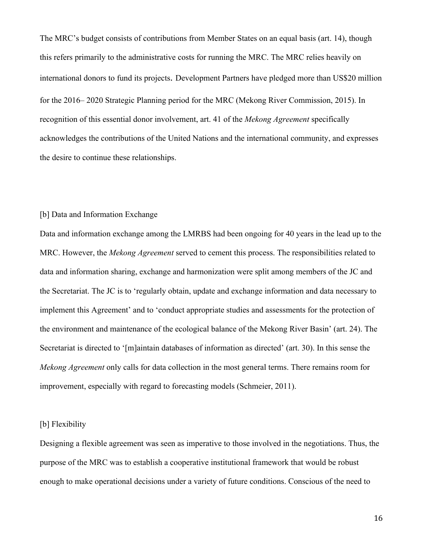The MRC's budget consists of contributions from Member States on an equal basis (art. 14), though this refers primarily to the administrative costs for running the MRC. The MRC relies heavily on international donors to fund its projects. Development Partners have pledged more than US\$20 million for the 2016– 2020 Strategic Planning period for the MRC (Mekong River Commission, 2015). In recognition of this essential donor involvement, art. 41 of the *Mekong Agreement* specifically acknowledges the contributions of the United Nations and the international community, and expresses the desire to continue these relationships.

# [b] Data and Information Exchange

Data and information exchange among the LMRBS had been ongoing for 40 years in the lead up to the MRC. However, the *Mekong Agreement* served to cement this process. The responsibilities related to data and information sharing, exchange and harmonization were split among members of the JC and the Secretariat. The JC is to 'regularly obtain, update and exchange information and data necessary to implement this Agreement' and to 'conduct appropriate studies and assessments for the protection of the environment and maintenance of the ecological balance of the Mekong River Basin' (art. 24). The Secretariat is directed to '[m]aintain databases of information as directed' (art. 30). In this sense the *Mekong Agreement* only calls for data collection in the most general terms. There remains room for improvement, especially with regard to forecasting models (Schmeier, 2011).

#### [b] Flexibility

Designing a flexible agreement was seen as imperative to those involved in the negotiations. Thus, the purpose of the MRC was to establish a cooperative institutional framework that would be robust enough to make operational decisions under a variety of future conditions. Conscious of the need to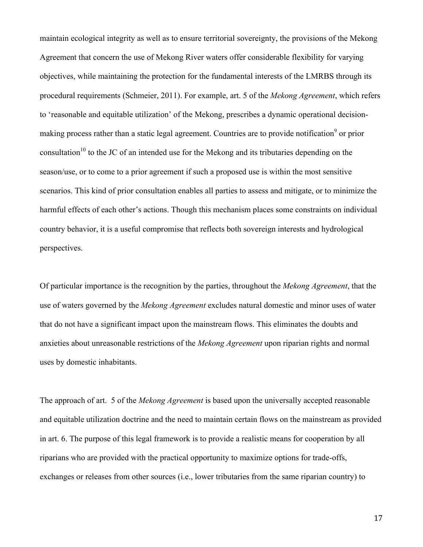maintain ecological integrity as well as to ensure territorial sovereignty, the provisions of the Mekong Agreement that concern the use of Mekong River waters offer considerable flexibility for varying objectives, while maintaining the protection for the fundamental interests of the LMRBS through its procedural requirements (Schmeier, 2011). For example, art. 5 of the *Mekong Agreement*, which refers to 'reasonable and equitable utilization' of the Mekong, prescribes a dynamic operational decisionmaking process rather than a static legal agreement. Countries are to provide notification<sup>9</sup> or prior consultation<sup>10</sup> to the JC of an intended use for the Mekong and its tributaries depending on the season/use, or to come to a prior agreement if such a proposed use is within the most sensitive scenarios. This kind of prior consultation enables all parties to assess and mitigate, or to minimize the harmful effects of each other's actions. Though this mechanism places some constraints on individual country behavior, it is a useful compromise that reflects both sovereign interests and hydrological perspectives.

Of particular importance is the recognition by the parties, throughout the *Mekong Agreement*, that the use of waters governed by the *Mekong Agreement* excludes natural domestic and minor uses of water that do not have a significant impact upon the mainstream flows. This eliminates the doubts and anxieties about unreasonable restrictions of the *Mekong Agreement* upon riparian rights and normal uses by domestic inhabitants.

The approach of art. 5 of the *Mekong Agreement* is based upon the universally accepted reasonable and equitable utilization doctrine and the need to maintain certain flows on the mainstream as provided in art. 6. The purpose of this legal framework is to provide a realistic means for cooperation by all riparians who are provided with the practical opportunity to maximize options for trade-offs, exchanges or releases from other sources (i.e., lower tributaries from the same riparian country) to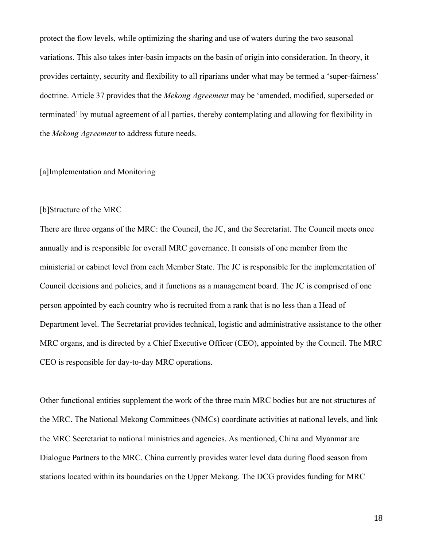protect the flow levels, while optimizing the sharing and use of waters during the two seasonal variations. This also takes inter-basin impacts on the basin of origin into consideration. In theory, it provides certainty, security and flexibility to all riparians under what may be termed a 'super-fairness' doctrine. Article 37 provides that the *Mekong Agreement* may be 'amended, modified, superseded or terminated' by mutual agreement of all parties, thereby contemplating and allowing for flexibility in the *Mekong Agreement* to address future needs.

# [a]Implementation and Monitoring

#### [b]Structure of the MRC

There are three organs of the MRC: the Council, the JC, and the Secretariat. The Council meets once annually and is responsible for overall MRC governance. It consists of one member from the ministerial or cabinet level from each Member State. The JC is responsible for the implementation of Council decisions and policies, and it functions as a management board. The JC is comprised of one person appointed by each country who is recruited from a rank that is no less than a Head of Department level. The Secretariat provides technical, logistic and administrative assistance to the other MRC organs, and is directed by a Chief Executive Officer (CEO), appointed by the Council. The MRC CEO is responsible for day-to-day MRC operations.

Other functional entities supplement the work of the three main MRC bodies but are not structures of the MRC. The National Mekong Committees (NMCs) coordinate activities at national levels, and link the MRC Secretariat to national ministries and agencies. As mentioned, China and Myanmar are Dialogue Partners to the MRC. China currently provides water level data during flood season from stations located within its boundaries on the Upper Mekong. The DCG provides funding for MRC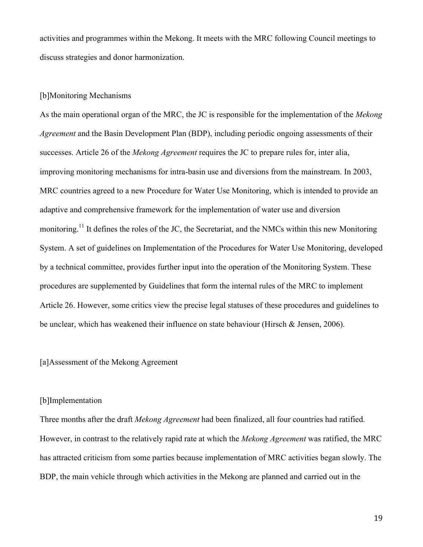activities and programmes within the Mekong. It meets with the MRC following Council meetings to discuss strategies and donor harmonization.

# [b]Monitoring Mechanisms

As the main operational organ of the MRC, the JC is responsible for the implementation of the *Mekong Agreement* and the Basin Development Plan (BDP), including periodic ongoing assessments of their successes. Article 26 of the *Mekong Agreement* requires the JC to prepare rules for, inter alia, improving monitoring mechanisms for intra-basin use and diversions from the mainstream. In 2003, MRC countries agreed to a new Procedure for Water Use Monitoring, which is intended to provide an adaptive and comprehensive framework for the implementation of water use and diversion monitoring.<sup>11</sup> It defines the roles of the JC, the Secretariat, and the NMCs within this new Monitoring System. A set of guidelines on Implementation of the Procedures for Water Use Monitoring, developed by a technical committee, provides further input into the operation of the Monitoring System. These procedures are supplemented by Guidelines that form the internal rules of the MRC to implement Article 26. However, some critics view the precise legal statuses of these procedures and guidelines to be unclear, which has weakened their influence on state behaviour (Hirsch & Jensen, 2006).

# [a]Assessment of the Mekong Agreement

# [b]Implementation

Three months after the draft *Mekong Agreement* had been finalized, all four countries had ratified. However, in contrast to the relatively rapid rate at which the *Mekong Agreement* was ratified, the MRC has attracted criticism from some parties because implementation of MRC activities began slowly. The BDP, the main vehicle through which activities in the Mekong are planned and carried out in the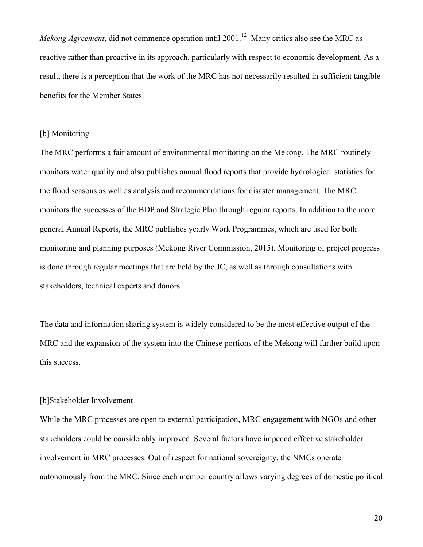*Mekong Agreement*, did not commence operation until 2001. <sup>12</sup> Many critics also see the MRC as reactive rather than proactive in its approach, particularly with respect to economic development. As a result, there is a perception that the work of the MRC has not necessarily resulted in sufficient tangible benefits for the Member States.

#### [b] Monitoring

The MRC performs a fair amount of environmental monitoring on the Mekong. The MRC routinely monitors water quality and also publishes annual flood reports that provide hydrological statistics for the flood seasons as well as analysis and recommendations for disaster management. The MRC monitors the successes of the BDP and Strategic Plan through regular reports. In addition to the more general Annual Reports, the MRC publishes yearly Work Programmes, which are used for both monitoring and planning purposes (Mekong River Commission, 2015). Monitoring of project progress is done through regular meetings that are held by the JC, as well as through consultations with stakeholders, technical experts and donors.

The data and information sharing system is widely considered to be the most effective output of the MRC and the expansion of the system into the Chinese portions of the Mekong will further build upon this success.

#### [b]Stakeholder Involvement

While the MRC processes are open to external participation, MRC engagement with NGOs and other stakeholders could be considerably improved. Several factors have impeded effective stakeholder involvement in MRC processes. Out of respect for national sovereignty, the NMCs operate autonomously from the MRC. Since each member country allows varying degrees of domestic political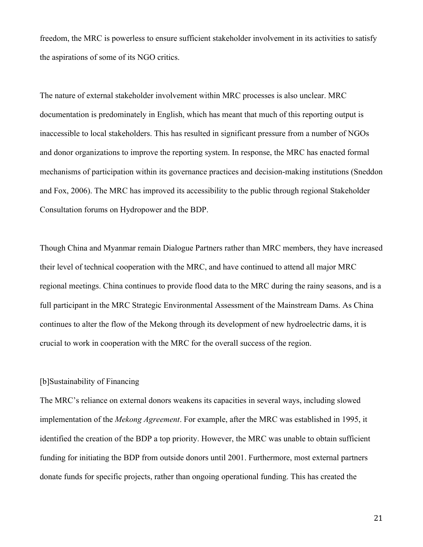freedom, the MRC is powerless to ensure sufficient stakeholder involvement in its activities to satisfy the aspirations of some of its NGO critics.

The nature of external stakeholder involvement within MRC processes is also unclear. MRC documentation is predominately in English, which has meant that much of this reporting output is inaccessible to local stakeholders. This has resulted in significant pressure from a number of NGOs and donor organizations to improve the reporting system. In response, the MRC has enacted formal mechanisms of participation within its governance practices and decision-making institutions (Sneddon and Fox, 2006). The MRC has improved its accessibility to the public through regional Stakeholder Consultation forums on Hydropower and the BDP.

Though China and Myanmar remain Dialogue Partners rather than MRC members, they have increased their level of technical cooperation with the MRC, and have continued to attend all major MRC regional meetings. China continues to provide flood data to the MRC during the rainy seasons, and is a full participant in the MRC Strategic Environmental Assessment of the Mainstream Dams. As China continues to alter the flow of the Mekong through its development of new hydroelectric dams, it is crucial to work in cooperation with the MRC for the overall success of the region.

### [b]Sustainability of Financing

The MRC's reliance on external donors weakens its capacities in several ways, including slowed implementation of the *Mekong Agreement*. For example, after the MRC was established in 1995, it identified the creation of the BDP a top priority. However, the MRC was unable to obtain sufficient funding for initiating the BDP from outside donors until 2001. Furthermore, most external partners donate funds for specific projects, rather than ongoing operational funding. This has created the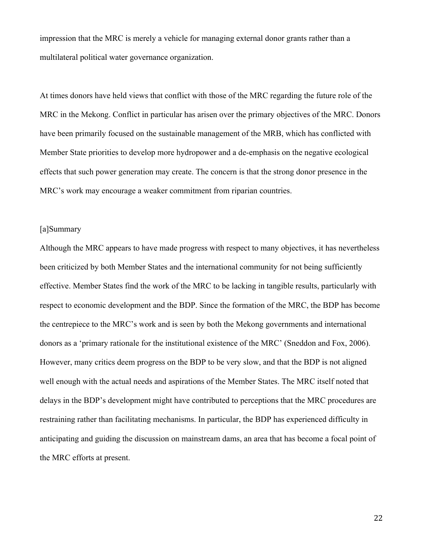impression that the MRC is merely a vehicle for managing external donor grants rather than a multilateral political water governance organization.

At times donors have held views that conflict with those of the MRC regarding the future role of the MRC in the Mekong. Conflict in particular has arisen over the primary objectives of the MRC. Donors have been primarily focused on the sustainable management of the MRB, which has conflicted with Member State priorities to develop more hydropower and a de-emphasis on the negative ecological effects that such power generation may create. The concern is that the strong donor presence in the MRC's work may encourage a weaker commitment from riparian countries.

## [a]Summary

Although the MRC appears to have made progress with respect to many objectives, it has nevertheless been criticized by both Member States and the international community for not being sufficiently effective. Member States find the work of the MRC to be lacking in tangible results, particularly with respect to economic development and the BDP. Since the formation of the MRC, the BDP has become the centrepiece to the MRC's work and is seen by both the Mekong governments and international donors as a 'primary rationale for the institutional existence of the MRC' (Sneddon and Fox, 2006). However, many critics deem progress on the BDP to be very slow, and that the BDP is not aligned well enough with the actual needs and aspirations of the Member States. The MRC itself noted that delays in the BDP's development might have contributed to perceptions that the MRC procedures are restraining rather than facilitating mechanisms. In particular, the BDP has experienced difficulty in anticipating and guiding the discussion on mainstream dams, an area that has become a focal point of the MRC efforts at present.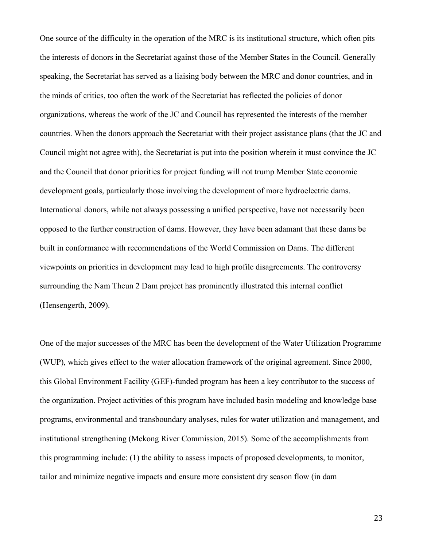One source of the difficulty in the operation of the MRC is its institutional structure, which often pits the interests of donors in the Secretariat against those of the Member States in the Council. Generally speaking, the Secretariat has served as a liaising body between the MRC and donor countries, and in the minds of critics, too often the work of the Secretariat has reflected the policies of donor organizations, whereas the work of the JC and Council has represented the interests of the member countries. When the donors approach the Secretariat with their project assistance plans (that the JC and Council might not agree with), the Secretariat is put into the position wherein it must convince the JC and the Council that donor priorities for project funding will not trump Member State economic development goals, particularly those involving the development of more hydroelectric dams. International donors, while not always possessing a unified perspective, have not necessarily been opposed to the further construction of dams. However, they have been adamant that these dams be built in conformance with recommendations of the World Commission on Dams. The different viewpoints on priorities in development may lead to high profile disagreements. The controversy surrounding the Nam Theun 2 Dam project has prominently illustrated this internal conflict (Hensengerth, 2009).

One of the major successes of the MRC has been the development of the Water Utilization Programme (WUP), which gives effect to the water allocation framework of the original agreement. Since 2000, this Global Environment Facility (GEF)-funded program has been a key contributor to the success of the organization. Project activities of this program have included basin modeling and knowledge base programs, environmental and transboundary analyses, rules for water utilization and management, and institutional strengthening (Mekong River Commission, 2015). Some of the accomplishments from this programming include: (1) the ability to assess impacts of proposed developments, to monitor, tailor and minimize negative impacts and ensure more consistent dry season flow (in dam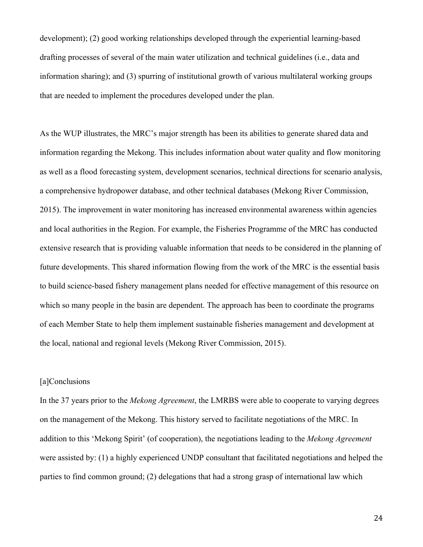development); (2) good working relationships developed through the experiential learning-based drafting processes of several of the main water utilization and technical guidelines (i.e., data and information sharing); and (3) spurring of institutional growth of various multilateral working groups that are needed to implement the procedures developed under the plan.

As the WUP illustrates, the MRC's major strength has been its abilities to generate shared data and information regarding the Mekong. This includes information about water quality and flow monitoring as well as a flood forecasting system, development scenarios, technical directions for scenario analysis, a comprehensive hydropower database, and other technical databases (Mekong River Commission, 2015). The improvement in water monitoring has increased environmental awareness within agencies and local authorities in the Region. For example, the Fisheries Programme of the MRC has conducted extensive research that is providing valuable information that needs to be considered in the planning of future developments. This shared information flowing from the work of the MRC is the essential basis to build science-based fishery management plans needed for effective management of this resource on which so many people in the basin are dependent. The approach has been to coordinate the programs of each Member State to help them implement sustainable fisheries management and development at the local, national and regional levels (Mekong River Commission, 2015).

# [a]Conclusions

In the 37 years prior to the *Mekong Agreement*, the LMRBS were able to cooperate to varying degrees on the management of the Mekong. This history served to facilitate negotiations of the MRC. In addition to this 'Mekong Spirit' (of cooperation), the negotiations leading to the *Mekong Agreement* were assisted by: (1) a highly experienced UNDP consultant that facilitated negotiations and helped the parties to find common ground; (2) delegations that had a strong grasp of international law which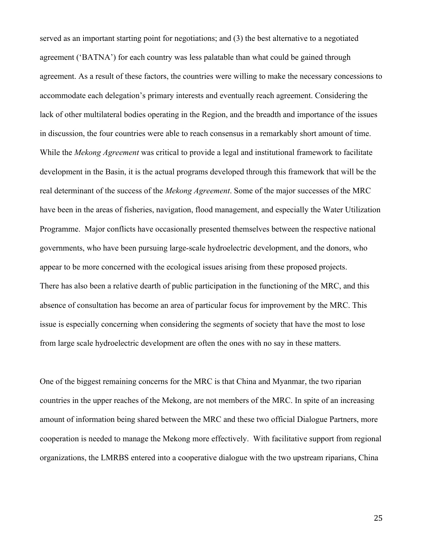served as an important starting point for negotiations; and (3) the best alternative to a negotiated agreement ('BATNA') for each country was less palatable than what could be gained through agreement. As a result of these factors, the countries were willing to make the necessary concessions to accommodate each delegation's primary interests and eventually reach agreement. Considering the lack of other multilateral bodies operating in the Region, and the breadth and importance of the issues in discussion, the four countries were able to reach consensus in a remarkably short amount of time. While the *Mekong Agreement* was critical to provide a legal and institutional framework to facilitate development in the Basin, it is the actual programs developed through this framework that will be the real determinant of the success of the *Mekong Agreement*. Some of the major successes of the MRC have been in the areas of fisheries, navigation, flood management, and especially the Water Utilization Programme. Major conflicts have occasionally presented themselves between the respective national governments, who have been pursuing large-scale hydroelectric development, and the donors, who appear to be more concerned with the ecological issues arising from these proposed projects. There has also been a relative dearth of public participation in the functioning of the MRC, and this absence of consultation has become an area of particular focus for improvement by the MRC. This issue is especially concerning when considering the segments of society that have the most to lose from large scale hydroelectric development are often the ones with no say in these matters.

One of the biggest remaining concerns for the MRC is that China and Myanmar, the two riparian countries in the upper reaches of the Mekong, are not members of the MRC. In spite of an increasing amount of information being shared between the MRC and these two official Dialogue Partners, more cooperation is needed to manage the Mekong more effectively. With facilitative support from regional organizations, the LMRBS entered into a cooperative dialogue with the two upstream riparians, China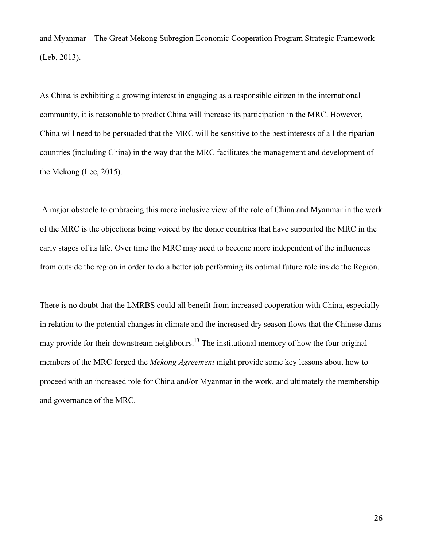and Myanmar – The Great Mekong Subregion Economic Cooperation Program Strategic Framework (Leb, 2013).

As China is exhibiting a growing interest in engaging as a responsible citizen in the international community, it is reasonable to predict China will increase its participation in the MRC. However, China will need to be persuaded that the MRC will be sensitive to the best interests of all the riparian countries (including China) in the way that the MRC facilitates the management and development of the Mekong (Lee, 2015).

A major obstacle to embracing this more inclusive view of the role of China and Myanmar in the work of the MRC is the objections being voiced by the donor countries that have supported the MRC in the early stages of its life. Over time the MRC may need to become more independent of the influences from outside the region in order to do a better job performing its optimal future role inside the Region.

There is no doubt that the LMRBS could all benefit from increased cooperation with China, especially in relation to the potential changes in climate and the increased dry season flows that the Chinese dams may provide for their downstream neighbours.<sup>13</sup> The institutional memory of how the four original members of the MRC forged the *Mekong Agreement* might provide some key lessons about how to proceed with an increased role for China and/or Myanmar in the work, and ultimately the membership and governance of the MRC.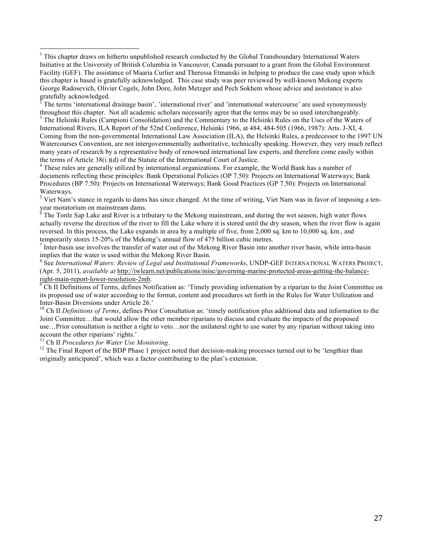<sup>2</sup> The terms 'international drainage basin', 'international river' and 'international watercourse' are used synonymously throughout this chapter. Not all academic scholars necessarily agree that the terms may be so used interchangeably.

<sup>3</sup> The Helsinki Rules (Campioni Consolidation) and the Commentary to the Helsinki Rules on the Uses of the Waters of International Rivers, ILA Report of the 52nd Conference, Helsinki 1966, at 484, 484-505 (1966, 1987): Arts. J-XI, 4. Coming from the non-governmental International Law Association (ILA), the Helsinki Rules, a predecessor to the 1997 UN Watercourses Convention, are not intergovernmentally authoritative, technically speaking. However, they very much reflect many years of research by a representative body of renowned international law experts, and therefore come easily within the terms of Article 38(i.)(d) of the Statute of the International Court of Justice.

<sup>4</sup> These rules are generally utilized by international organizations. For example, the World Bank has a number of documents reflecting these principles: Bank Operational Policies (OP 7.50): Projects on International Waterways; Bank Procedures (BP 7.50): Projects on International Waterways; Bank Good Practices (GP 7.50): Projects on International Waterways.

<sup>5</sup> Viet Nam's stance in regards to dams has since changed. At the time of writing, Viet Nam was in favor of imposing a tenyear moratorium on mainstream dams.<br><sup>6</sup> The Tonle Sap Lake and River is a tributary to the Mekong mainstream, and during the wet season, high water flows

actually reverse the direction of the river to fill the Lake where it is stored until the dry season, when the river flow is again reversed. In this process, the Lake expands in area by a multiple of five, from 2,000 sq. km to 10,000 sq. km., and temporarily stores 15-20% of the Mekong's annual flow of 475 billion cubic metres.<br><sup>7</sup> Inter-basin use involves the transfer of water out of the Mekong River Basin into another river basin, while intra-basin

implies that the water is used within the Mekong River Basin.<br><sup>8</sup> See *International Waters: Review of Legal and Institutional Frameworks*, UNDP-GEF INTERNATIONAL WATERS PROJECT,

(Apr. 5, 2011), *available at* http://iwlearn.net/publications/misc/governing-marine-protected-areas-getting-the-balanceright-main-report-lower-resolution-2mb.<br><sup>9</sup> Ch II Definitions of Terms, defines Notification as: 'Timely providing information by a riparian to the Joint Committee on

its proposed use of water according to the format, content and procedures set forth in the Rules for Water Utilization and Inter-Basin Diversions under Article 26.'<br><sup>10</sup> Ch II *Definitions of Terms*, defines Prior Consultation as: 'timely notification plus additional data and information to the

Joint Committee…that would allow the other member riparians to discuss and evaluate the impacts of the proposed use…Prior consultation is neither a right to veto…nor the unilateral right to use water by any riparian without taking into account the other riparians' rights.'<br><sup>11</sup> Ch II *Procedures for Water Use Monitoring*.

<sup>12</sup> The Final Report of the BDP Phase 1 project noted that decision-making processes turned out to be 'lengthier than originally anticipated', which was a factor contributing to the plan's extension.

 <sup>1</sup> This chapter draws on hitherto unpublished research conducted by the Global Transboundary International Waters Initiative at the University of British Columbia in Vancouver, Canada pursuant to a grant from the Global Environment Facility (GEF). The assistance of Maaria Curlier and Theressa Etmanski in helping to produce the case study upon which this chapter is based is gratefully acknowledged. This case study was peer reviewed by well-known Mekong experts George Radosevich, Olivier Cogels, John Dore, John Metzger and Pech Sokhem whose advice and assistance is also gratefully acknowledged.